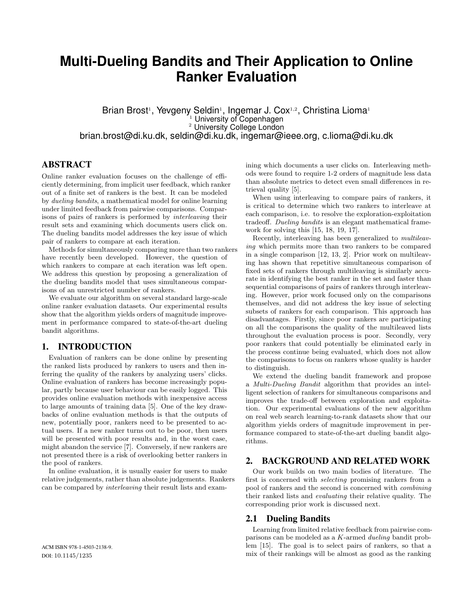# **Multi-Dueling Bandits and Their Application to Online Ranker Evaluation**

Brian Brost<sup>1</sup>, Yevgeny Seldin<sup>1</sup>, Ingemar J. Cox<sup>1,2</sup>, Christina Lioma<sup>1</sup> University of Copenhagen <sup>2</sup> University College London brian.brost@di.ku.dk, seldin@di.ku.dk, ingemar@ieee.org, c.lioma@di.ku.dk

# ABSTRACT

Online ranker evaluation focuses on the challenge of efficiently determining, from implicit user feedback, which ranker out of a finite set of rankers is the best. It can be modeled by dueling bandits, a mathematical model for online learning under limited feedback from pairwise comparisons. Comparisons of pairs of rankers is performed by interleaving their result sets and examining which documents users click on. The dueling bandits model addresses the key issue of which pair of rankers to compare at each iteration.

Methods for simultaneously comparing more than two rankers have recently been developed. However, the question of which rankers to compare at each iteration was left open. We address this question by proposing a generalization of the dueling bandits model that uses simultaneous comparisons of an unrestricted number of rankers.

We evaluate our algorithm on several standard large-scale online ranker evaluation datasets. Our experimental results show that the algorithm yields orders of magnitude improvement in performance compared to state-of-the-art dueling bandit algorithms.

# 1. INTRODUCTION

Evaluation of rankers can be done online by presenting the ranked lists produced by rankers to users and then inferring the quality of the rankers by analyzing users' clicks. Online evaluation of rankers has become increasingly popular, partly because user behaviour can be easily logged. This provides online evaluation methods with inexpensive access to large amounts of training data [5]. One of the key drawbacks of online evaluation methods is that the outputs of new, potentially poor, rankers need to be presented to actual users. If a new ranker turns out to be poor, then users will be presented with poor results and, in the worst case, might abandon the service [7]. Conversely, if new rankers are not presented there is a risk of overlooking better rankers in the pool of rankers.

In online evaluation, it is usually easier for users to make relative judgements, rather than absolute judgements. Rankers can be compared by interleaving their result lists and exam-

ACM ISBN 978-1-4503-2138-9. DOI: 10.1145/1235

ining which documents a user clicks on. Interleaving methods were found to require 1-2 orders of magnitude less data than absolute metrics to detect even small differences in retrieval quality [5].

When using interleaving to compare pairs of rankers, it is critical to determine which two rankers to interleave at each comparison, i.e. to resolve the exploration-exploitation tradeoff. Dueling bandits is an elegant mathematical framework for solving this [15, 18, 19, 17].

Recently, interleaving has been generalized to multileaving which permits more than two rankers to be compared in a single comparison [12, 13, 2]. Prior work on multileaving has shown that repetitive simultaneous comparison of fixed sets of rankers through multileaving is similarly accurate in identifying the best ranker in the set and faster than sequential comparisons of pairs of rankers through interleaving. However, prior work focused only on the comparisons themselves, and did not address the key issue of selecting subsets of rankers for each comparison. This approach has disadvantages. Firstly, since poor rankers are participating on all the comparisons the quality of the multileaved lists throughout the evaluation process is poor. Secondly, very poor rankers that could potentially be eliminated early in the process continue being evaluated, which does not allow the comparisons to focus on rankers whose quality is harder to distinguish.

We extend the dueling bandit framework and propose a Multi-Dueling Bandit algorithm that provides an intelligent selection of rankers for simultaneous comparisons and improves the trade-off between exploration and exploitation. Our experimental evaluations of the new algorithm on real web search learning-to-rank datasets show that our algorithm yields orders of magnitude improvement in performance compared to state-of-the-art dueling bandit algorithms.

# 2. BACKGROUND AND RELATED WORK

Our work builds on two main bodies of literature. The first is concerned with selecting promising rankers from a pool of rankers and the second is concerned with combining their ranked lists and evaluating their relative quality. The corresponding prior work is discussed next.

## 2.1 Dueling Bandits

Learning from limited relative feedback from pairwise comparisons can be modeled as a K-armed dueling bandit problem [15]. The goal is to select pairs of rankers, so that a mix of their rankings will be almost as good as the ranking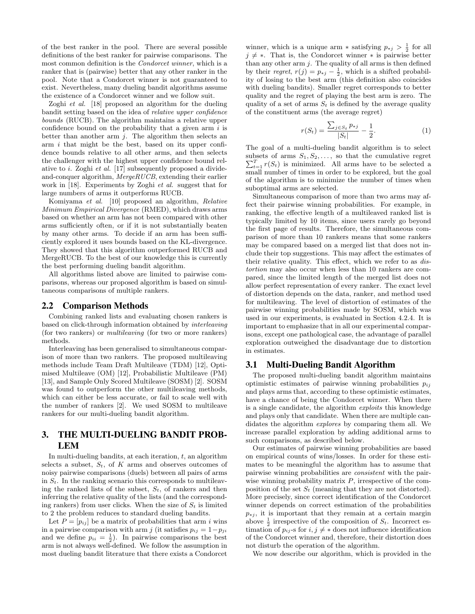of the best ranker in the pool. There are several possible definitions of the best ranker for pairwise comparisons. The most common definition is the Condorcet winner, which is a ranker that is (pairwise) better that any other ranker in the pool. Note that a Condorcet winner is not guaranteed to exist. Nevertheless, many dueling bandit algorithms assume the existence of a Condorcet winner and we follow suit.

Zoghi *et al.* [18] proposed an algorithm for the dueling bandit setting based on the idea of relative upper confidence bounds (RUCB). The algorithm maintains a relative upper confidence bound on the probability that a given arm  $i$  is better than another arm  $j$ . The algorithm then selects an arm  $i$  that might be the best, based on its upper confidence bounds relative to all other arms, and then selects the challenger with the highest upper confidence bound relative to i. Zoghi et al. [17] subsequently proposed a divideand-conquer algorithm, MergeRUCB, extending their earlier work in [18]. Experiments by Zoghi et al. suggest that for large numbers of arms it outperforms RUCB.

Komiyama et al. [10] proposed an algorithm, Relative Minimum Empirical Divergence (RMED), which draws arms based on whether an arm has not been compared with other arms sufficiently often, or if it is not substantially beaten by many other arms. To decide if an arm has been sufficiently explored it uses bounds based on the KL-divergence. They showed that this algorithm outperformed RUCB and MergeRUCB. To the best of our knowledge this is currently the best performing dueling bandit algorithm.

All algorithms listed above are limited to pairwise comparisons, whereas our proposed algorithm is based on simultaneous comparisons of multiple rankers.

## 2.2 Comparison Methods

Combining ranked lists and evaluating chosen rankers is based on click-through information obtained by interleaving (for two rankers) or multileaving (for two or more rankers) methods.

Interleaving has been generalised to simultaneous comparison of more than two rankers. The proposed multileaving methods include Team Draft Multileave (TDM) [12], Optimised Multileave (OM) [12], Probabilistic Multileave (PM) [13], and Sample Only Scored Multileave (SOSM) [2]. SOSM was found to outperform the other multileaving methods, which can either be less accurate, or fail to scale well with the number of rankers [2]. We used SOSM to multileave rankers for our multi-dueling bandit algorithm.

# 3. THE MULTI-DUELING BANDIT PROB-LEM

In multi-dueling bandits, at each iteration,  $t$ , an algorithm selects a subset,  $S_t$ , of K arms and observes outcomes of noisy pairwise comparisons (duels) between all pairs of arms in  $S_t$ . In the ranking scenario this corresponds to multileaving the ranked lists of the subset,  $S_t$ , of rankers and then inferring the relative quality of the lists (and the corresponding rankers) from user clicks. When the size of  $S_t$  is limited to 2 the problem reduces to standard dueling bandits.

Let  $P = [p_{ij}]$  be a matrix of probabilities that arm i wins in a pairwise comparison with arm j (it satisfies  $p_{ij} = 1-p_{ji}$ and we define  $p_{ii} = \frac{1}{2}$ ). In pairwise comparisons the best arm is not always well-defined. We follow the assumption in most dueling bandit literature that there exists a Condorcet

winner, which is a unique arm  $*$  satisfying  $p_{*j} > \frac{1}{2}$  for all  $j \neq *$ . That is, the Condorcet winner  $*$  is pairwise better than any other arm  $j$ . The quality of all arms is then defined by their regret,  $r(j) = p_{*j} - \frac{1}{2}$ , which is a shifted probability of losing to the best arm (this definition also coincides with dueling bandits). Smaller regret corresponds to better quality and the regret of playing the best arm is zero. The quality of a set of arms  $S_t$  is defined by the average quality of the constituent arms (the average regret)

$$
r(S_t) = \frac{\sum_{j \in S_t} p_{*j}}{|S_t|} - \frac{1}{2}.
$$
 (1)

The goal of a multi-dueling bandit algorithm is to select subsets of arms  $S_1, S_2, \ldots$ , so that the cumulative regret  $\sum_{t=1}^{T} r(S_t)$  is minimized. All arms have to be selected a small number of times in order to be explored, but the goal of the algorithm is to minimize the number of times when suboptimal arms are selected.

Simultaneous comparison of more than two arms may affect their pairwise winning probabilities. For example, in ranking, the effective length of a multileaved ranked list is typically limited by 10 items, since users rarely go beyond the first page of results. Therefore, the simultaneous comparison of more than 10 rankers means that some rankers may be compared based on a merged list that does not include their top suggestions. This may affect the estimates of their relative quality. This effect, which we refer to as distortion may also occur when less than 10 rankers are compared, since the limited length of the merged list does not allow perfect representation of every ranker. The exact level of distortion depends on the data, ranker, and method used for multileaving. The level of distortion of estimates of the pairwise winning probabilities made by SOSM, which was used in our experiments, is evaluated in Section 4.2.4. It is important to emphasize that in all our experimental comparisons, except one pathological case, the advantage of parallel exploration outweighed the disadvantage due to distortion in estimates.

# 3.1 Multi-Dueling Bandit Algorithm

The proposed multi-dueling bandit algorithm maintains optimistic estimates of pairwise winning probabilities  $p_{ij}$ and plays arms that, according to these optimistic estimates, have a chance of being the Condorcet winner. When there is a single candidate, the algorithm exploits this knowledge and plays only that candidate. When there are multiple candidates the algorithm explores by comparing them all. We increase parallel exploration by adding additional arms to such comparisons, as described below.

Our estimates of pairwise winning probabilities are based on empirical counts of wins/losses. In order for these estimates to be meaningful the algorithm has to assume that pairwise winning probabilities are consistent with the pairwise winning probability matrix  $P$ , irrespective of the composition of the set  $S_t$  (meaning that they are not distorted). More precisely, since correct identification of the Condorcet winner depends on correct estimation of the probabilities  $p_{*j}$ , it is important that they remain at a certain margin above  $\frac{1}{2}$  irrespective of the composition of  $S_t$ . Incorrect estimation of  $p_{ij}$ -s for  $i, j \neq *$  does not influence identification of the Condorcet winner and, therefore, their distortion does not disturb the operation of the algorithm.

We now describe our algorithm, which is provided in the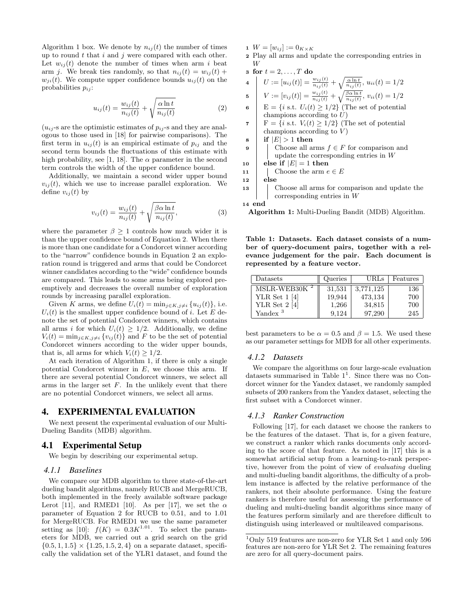Algorithm 1 box. We denote by  $n_{ij}(t)$  the number of times up to round  $t$  that  $i$  and  $j$  were compared with each other. Let  $w_{ij}(t)$  denote the number of times when arm i beat arm *j*. We break ties randomly, so that  $n_{ij}(t) = w_{ij}(t) +$  $w_{ii}(t)$ . We compute upper confidence bounds  $u_{ii}(t)$  on the probabilities  $p_{ij}$ :

$$
u_{ij}(t) = \frac{w_{ij}(t)}{n_{ij}(t)} + \sqrt{\frac{\alpha \ln t}{n_{ij}(t)}}
$$
 (2)

 $(u_{ij}$ -s are the optimistic estimates of  $p_{ij}$ -s and they are analogous to those used in [18] for pairwise comparisons). The first term in  $u_{ij}(t)$  is an empirical estimate of  $p_{ij}$  and the second term bounds the fluctuations of this estimate with high probability, see [1, 18]. The  $\alpha$  parameter in the second term controls the width of the upper confidence bound.

Additionally, we maintain a second wider upper bound  $v_{ij}(t)$ , which we use to increase parallel exploration. We define  $v_{ij}(t)$  by

$$
v_{ij}(t) = \frac{w_{ij}(t)}{n_{ij}(t)} + \sqrt{\frac{\beta \alpha \ln t}{n_{ij}(t)}},
$$
\n(3)

where the parameter  $\beta \geq 1$  controls how much wider it is than the upper confidence bound of Equation 2. When there is more than one candidate for a Condorcet winner according to the "narrow" confidence bounds in Equation 2 an exploration round is triggered and arms that could be Condorcet winner candidates according to the "wide" confidence bounds are compared. This leads to some arms being explored preemptively and decreases the overall number of exploration rounds by increasing parallel exploration.

Given K arms, we define  $U_i(t) = \min_{j \in K, j \neq i} \{u_{ij}(t)\}\)$ , i.e.  $U_i(t)$  is the smallest upper confidence bound of i. Let E denote the set of potential Condorcet winners, which contains all arms *i* for which  $U_i(t) \geq 1/2$ . Additionally, we define  $V_i(t) = \min_{j \in K, j \neq i} \{v_{ij}(t)\}\$ and F to be the set of potential Condorcet winners according to the wider upper bounds, that is, all arms for which  $V_i(t) \geq 1/2$ .

At each iteration of Algorithm 1, if there is only a single potential Condorcet winner in  $E$ , we choose this arm. If there are several potential Condorcet winners, we select all arms in the larger set  $F$ . In the unlikely event that there are no potential Condorcet winners, we select all arms.

## 4. EXPERIMENTAL EVALUATION

We next present the experimental evaluation of our Multi-Dueling Bandits (MDB) algorithm.

# 4.1 Experimental Setup

We begin by describing our experimental setup.

#### *4.1.1 Baselines*

We compare our MDB algorithm to three state-of-the-art dueling bandit algorithms, namely RUCB and MergeRUCB, both implemented in the freely available software package Lerot [11], and RMED1 [10]. As per [17], we set the  $\alpha$ parameter of Equation 2 for RUCB to 0.51, and to 1.01 for MergeRUCB. For RMED1 we use the same parameter setting as [10]:  $f(K) = 0.3K^{1.01}$ . To select the parameters for MDB, we carried out a grid search on the grid  $\{0.5, 1, 1.5\} \times \{1.25, 1.5, 2, 4\}$  on a separate dataset, specifically the validation set of the YLR1 dataset, and found the

- 1  $W = [w_{ij}] := 0_{K \times K}$
- <sup>2</sup> Play all arms and update the corresponding entries in W

$$
s \text{ for } t = 2, \ldots, T \text{ do}
$$

4 
$$
U := [u_{ij}(t)] = \frac{w_{ij}(t)}{n_{ij}(t)} + \sqrt{\frac{\alpha \ln t}{n_{ij}(t)}}, u_{ii}(t) = 1/2
$$

5 
$$
V := [v_{ij}(t)] = \frac{w_{ij}(t)}{n_{ij}(t)} + \sqrt{\frac{\beta \alpha \ln t}{n_{ij}(t)}}, v_{ii}(t) = 1/2
$$

6 E = {*i* s.t.  $U_i(t) \geq 1/2$ } (The set of potential champions according to  $U$ )

- 7 F = {*i* s.t.  $V_i(t) \geq 1/2$ } (The set of potential champions according to  $V$ )
- $\mathbf{s}$  if  $|E| > 1$  then
- 9 Choose all arms  $f \in F$  for comparison and update the corresponding entries in W
- 10 else if  $|E| = 1$  then
- 11 | Choose the arm  $e \in E$
- <sup>12</sup> else
- <sup>13</sup> Choose all arms for comparison and update the corresponding entries in W

<sup>14</sup> end

Algorithm 1: Multi-Dueling Bandit (MDB) Algorithm.

Table 1: Datasets. Each dataset consists of a number of query-document pairs, together with a relevance judgement for the pair. Each document is represented by a feature vector.

| Datasets                 | Queries | URLs      | Features |
|--------------------------|---------|-----------|----------|
| MSLR-WEB30K <sup>2</sup> | 31,531  | 3,771,125 | 136      |
| YLR Set $1$ [4]          | 19,944  | 473,134   | 700      |
| YLR Set $2[4]$           | 1,266   | 34,815    | 700      |
| Yandex <sup>3</sup>      | 9.124   | 97.290    | 245      |

best parameters to be  $\alpha = 0.5$  and  $\beta = 1.5$ . We used these as our parameter settings for MDB for all other experiments.

#### *4.1.2 Datasets*

We compare the algorithms on four large-scale evaluation datasets summarised in Table  $1<sup>1</sup>$ . Since there was no Condorcet winner for the Yandex dataset, we randomly sampled subsets of 200 rankers from the Yandex dataset, selecting the first subset with a Condorcet winner.

# *4.1.3 Ranker Construction*

Following [17], for each dataset we choose the rankers to be the features of the dataset. That is, for a given feature, we construct a ranker which ranks documents only according to the score of that feature. As noted in [17] this is a somewhat artificial setup from a learning-to-rank perspective, however from the point of view of evaluating dueling and multi-dueling bandit algorithms, the difficulty of a problem instance is affected by the relative performance of the rankers, not their absolute performance. Using the feature rankers is therefore useful for assessing the performance of dueling and multi-dueling bandit algorithms since many of the features perform similarly and are therefore difficult to distinguish using interleaved or multileaved comparisons.

 $^{1}$  Only 519 features are non-zero for YLR Set 1 and only 596  $\,$ features are non-zero for YLR Set 2. The remaining features are zero for all query-document pairs.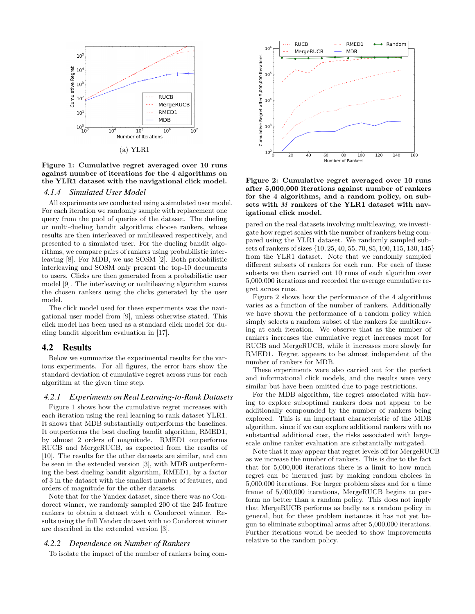

(a) YLR1

Figure 1: Cumulative regret averaged over 10 runs against number of iterations for the 4 algorithms on the YLR1 dataset with the navigational click model.

# *4.1.4 Simulated User Model*

All experiments are conducted using a simulated user model. For each iteration we randomly sample with replacement one query from the pool of queries of the dataset. The dueling or multi-dueling bandit algorithms choose rankers, whose results are then interleaved or multileaved respectively, and presented to a simulated user. For the dueling bandit algorithms, we compare pairs of rankers using probabilistic interleaving [8]. For MDB, we use SOSM [2]. Both probabilistic interleaving and SOSM only present the top-10 documents to users. Clicks are then generated from a probabilistic user model [9]. The interleaving or multileaving algorithm scores the chosen rankers using the clicks generated by the user model.

The click model used for these experiments was the navigational user model from [9], unless otherwise stated. This click model has been used as a standard click model for dueling bandit algorithm evaluation in [17].

## 4.2 Results

Below we summarize the experimental results for the various experiments. For all figures, the error bars show the standard deviation of cumulative regret across runs for each algorithm at the given time step.

# *4.2.1 Experiments on Real Learning-to-Rank Datasets*

Figure 1 shows how the cumulative regret increases with each iteration using the real learning to rank dataset YLR1. It shows that MDB substantially outperforms the baselines. It outperforms the best dueling bandit algorithm, RMED1, by almost 2 orders of magnitude. RMED1 outperforms RUCB and MergeRUCB, as expected from the results of [10]. The results for the other datasets are similar, and can be seen in the extended version [3], with MDB outperforming the best dueling bandit algorithm, RMED1, by a factor of 3 in the dataset with the smallest number of features, and orders of magnitude for the other datasets.

Note that for the Yandex dataset, since there was no Condorcet winner, we randomly sampled 200 of the 245 feature rankers to obtain a dataset with a Condorcet winner. Results using the full Yandex dataset with no Condorcet winner are described in the extended version [3].

# *4.2.2 Dependence on Number of Rankers*

To isolate the impact of the number of rankers being com-



Figure 2: Cumulative regret averaged over 10 runs after 5,000,000 iterations against number of rankers for the 4 algorithms, and a random policy, on subsets with M rankers of the YLR1 dataset with navigational click model.

pared on the real datasets involving multileaving, we investigate how regret scales with the number of rankers being compared using the YLR1 dataset. We randomly sampled subsets of rankers of sizes {10, 25, 40, 55, 70, 85, 100, 115, 130, 145} from the YLR1 dataset. Note that we randomly sampled different subsets of rankers for each run. For each of these subsets we then carried out 10 runs of each algorithm over 5,000,000 iterations and recorded the average cumulative regret across runs.

Figure 2 shows how the performance of the 4 algorithms varies as a function of the number of rankers. Additionally we have shown the performance of a random policy which simply selects a random subset of the rankers for multileaving at each iteration. We observe that as the number of rankers increases the cumulative regret increases most for RUCB and MergeRUCB, while it increases more slowly for RMED1. Regret appears to be almost independent of the number of rankers for MDB.

These experiments were also carried out for the perfect and informational click models, and the results were very similar but have been omitted due to page restrictions.

For the MDB algorithm, the regret associated with having to explore suboptimal rankers does not appear to be additionally compounded by the number of rankers being explored. This is an important characteristic of the MDB algorithm, since if we can explore additional rankers with no substantial additional cost, the risks associated with largescale online ranker evaluation are substantially mitigated.

Note that it may appear that regret levels off for MergeRUCB as we increase the number of rankers. This is due to the fact that for 5,000,000 iterations there is a limit to how much regret can be incurred just by making random choices in 5,000,000 iterations. For larger problem sizes and for a time frame of 5,000,000 iterations, MergeRUCB begins to perform no better than a random policy. This does not imply that MergeRUCB performs as badly as a random policy in general, but for these problem instances it has not yet begun to eliminate suboptimal arms after 5,000,000 iterations. Further iterations would be needed to show improvements relative to the random policy.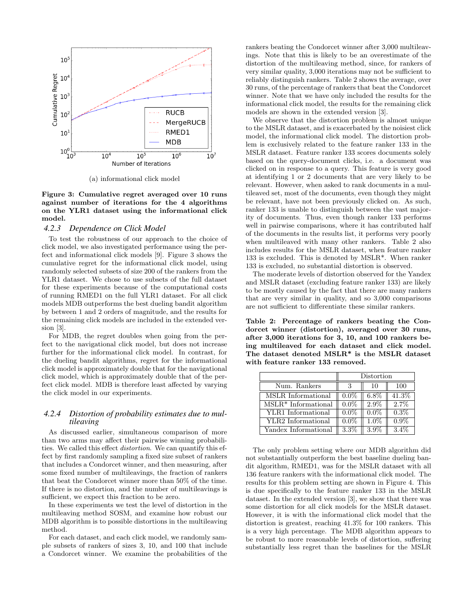

(a) informational click model

Figure 3: Cumulative regret averaged over 10 runs against number of iterations for the 4 algorithms on the YLR1 dataset using the informational click model.

# *4.2.3 Dependence on Click Model*

To test the robustness of our approach to the choice of click model, we also investigated performance using the perfect and informational click models [9]. Figure 3 shows the cumulative regret for the informational click model, using randomly selected subsets of size 200 of the rankers from the YLR1 dataset. We chose to use subsets of the full dataset for these experiments because of the computational costs of running RMED1 on the full YLR1 dataset. For all click models MDB outperforms the best dueling bandit algorithm by between 1 and 2 orders of magnitude, and the results for the remaining click models are included in the extended version [3].

For MDB, the regret doubles when going from the perfect to the navigational click model, but does not increase further for the informational click model. In contrast, for the dueling bandit algorithms, regret for the informational click model is approximately double that for the navigational click model, which is approximately double that of the perfect click model. MDB is therefore least affected by varying the click model in our experiments.

# *4.2.4 Distortion of probability estimates due to multileaving*

As discussed earlier, simultaneous comparison of more than two arms may affect their pairwise winning probabilities. We called this effect distortion. We can quantify this effect by first randomly sampling a fixed size subset of rankers that includes a Condorcet winner, and then measuring, after some fixed number of multileavings, the fraction of rankers that beat the Condorcet winner more than 50% of the time. If there is no distortion, and the number of multileavings is sufficient, we expect this fraction to be zero.

In these experiments we test the level of distortion in the multileaving method SOSM, and examine how robust our MDB algorithm is to possible distortions in the multileaving method.

For each dataset, and each click model, we randomly sample subsets of rankers of sizes 3, 10, and 100 that include a Condorcet winner. We examine the probabilities of the rankers beating the Condorcet winner after 3,000 multileavings. Note that this is likely to be an overestimate of the distortion of the multileaving method, since, for rankers of very similar quality, 3,000 iterations may not be sufficient to reliably distinguish rankers. Table 2 shows the average, over 30 runs, of the percentage of rankers that beat the Condorcet winner. Note that we have only included the results for the informational click model, the results for the remaining click models are shown in the extended version [3].

We observe that the distortion problem is almost unique to the MSLR dataset, and is exacerbated by the noisiest click model, the informational click model. The distortion problem is exclusively related to the feature ranker 133 in the MSLR dataset. Feature ranker 133 scores documents solely based on the query-document clicks, i.e. a document was clicked on in response to a query. This feature is very good at identifying 1 or 2 documents that are very likely to be relevant. However, when asked to rank documents in a multileaved set, most of the documents, even though they might be relevant, have not been previously clicked on. As such, ranker 133 is unable to distinguish between the vast majority of documents. Thus, even though ranker 133 performs well in pairwise comparisons, where it has contributed half of the documents in the results list, it performs very poorly when multileaved with many other rankers. Table 2 also includes results for the MSLR dataset, when feature ranker 133 is excluded. This is denoted by MSLR\*. When ranker 133 is excluded, no substantial distortion is observed.

The moderate levels of distortion observed for the Yandex and MSLR dataset (excluding feature ranker 133) are likely to be mostly caused by the fact that there are many rankers that are very similar in quality, and so 3,000 comparisons are not sufficient to differentiate these similar rankers.

Table 2: Percentage of rankers beating the Condorcet winner (distortion), averaged over 30 runs, after 3,000 iterations for 3, 10, and 100 rankers being multileaved for each dataset and click model. The dataset denoted MSLR\* is the MSLR dataset with feature ranker 133 removed.

|                                          | Distortion |         |         |
|------------------------------------------|------------|---------|---------|
| Num. Rankers                             |            | 10      | 100     |
| MSLR Informational                       | $0.0\%$    | $6.8\%$ | 41.3%   |
| $\overline{\text{MSLR}}^*$ Informational | $0.0\%$    | $2.9\%$ | 2.7%    |
| YLR1 Informational                       | $0.0\%$    | $0.0\%$ | $0.3\%$ |
| YLR2 Informational                       | $0.0\%$    | $1.0\%$ | $0.9\%$ |
| Yandex Informational                     |            |         |         |

The only problem setting where our MDB algorithm did not substantially outperform the best baseline dueling bandit algorithm, RMED1, was for the MSLR dataset with all 136 feature rankers with the informational click model. The results for this problem setting are shown in Figure 4. This is due specifically to the feature ranker 133 in the MSLR dataset. In the extended version [3], we show that there was some distortion for all click models for the MSLR dataset. However, it is with the informational click model that the distortion is greatest, reaching 41.3% for 100 rankers. This is a very high percentage. The MDB algorithm appears to be robust to more reasonable levels of distortion, suffering substantially less regret than the baselines for the MSLR